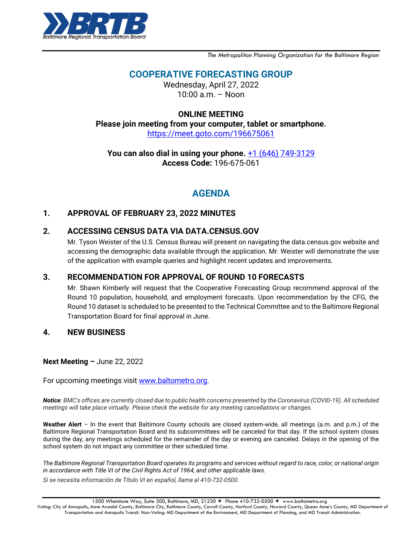

*The Metropolitan Planning Organization for the Baltimore Region*

# **COOPERATIVE FORECASTING GROUP**

Wednesday, April 27, 2022  $10:00$  a.m. – Noon

### **ONLINE MEETING**

**Please join meeting from your computer, tablet or smartphone.** [https://meet.goto.com/196675061](https://meet.goto.com/196675061?_ga=2.33892705.1504260469.1649360206-987561537.1598277598)

**You can also dial in using your phone.** [+1 \(646\) 749-3129](tel:+16467493129,,196675061) **Access Code:** 196-675-061

# **AGENDA**

### **1. APPROVAL OF FEBRUARY 23, 2022 MINUTES**

### **2. ACCESSING CENSUS DATA VIA DATA.CENSUS.GOV**

Mr. Tyson Weister of the U.S. Census Bureau will present on navigating the data.census.gov website and accessing the demographic data available through the application. Mr. Weister will demonstrate the use of the application with example queries and highlight recent updates and improvements.

### **3. RECOMMENDATION FOR APPROVAL OF ROUND 10 FORECASTS**

Mr. Shawn Kimberly will request that the Cooperative Forecasting Group recommend approval of the Round 10 population, household, and employment forecasts. Upon recommendation by the CFG, the Round 10 dataset is scheduled to be presented to the Technical Committee and to the Baltimore Regional Transportation Board for final approval in June.

### **4. NEW BUSINESS**

#### **Next Meeting –** June 22, 2022

For upcoming meetings visit [www.baltometro.org.](http://www.baltometro.org/)

*Notice: BMC's offices are currently closed due to public health concerns presented by the Coronavirus (COVID-19). All scheduled meetings will take place virtually. Please check the website for any meeting cancellations or changes.*

**Weather Alert** – In the event that Baltimore County schools are closed system-wide, all meetings (a.m. and p.m.) of the Baltimore Regional Transportation Board and its subcommittees will be canceled for that day. If the school system closes during the day, any meetings scheduled for the remainder of the day or evening are canceled. Delays in the opening of the school system do not impact any committee or their scheduled time.

*The Baltimore Regional Transportation Board operates its programs and services without regard to race, color, or national origin in accordance with Title VI of the Civil Rights Act of 1964, and other applicable laws.*

*Si se necesita información de Título VI en español, llame al 410-732-0500.*